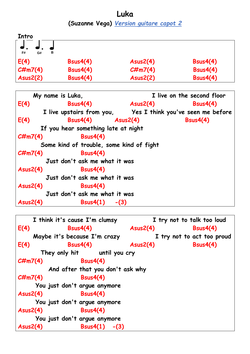**Luka (Suzanne Vega)** *Version guitare capot 2*

| Intro         |                 |            |                 |
|---------------|-----------------|------------|-----------------|
|               |                 |            |                 |
| F#<br>в<br>G# |                 |            |                 |
| E(4)          | Bsus4(4)        | Assus2(4)  | Bsus4(4)        |
| $C\#m7(4)$    | Bsus4(4)        | $C\#m7(4)$ | <b>Bsus4(4)</b> |
| Assus2(2)     | <b>Bsus4(4)</b> | Ass2(2)    | <b>Bsus4(4)</b> |

|            | My name is Luka,                                            |                              | I live on the second floor |
|------------|-------------------------------------------------------------|------------------------------|----------------------------|
| E(4)       | Bsus4(4)                                                    | <b>Example 2018</b> Asus2(4) | <b>Bsus4(4)</b>            |
|            | I live upstairs from you, Yes I think you've seen me before |                              |                            |
| E(4)       | $Bsus4(4)$ $Asus2(4)$                                       |                              | Bsus4(4)                   |
|            | If you hear something late at night                         |                              |                            |
| $C\#m7(4)$ | Bsus4(4)                                                    |                              |                            |
|            | Some kind of trouble, some kind of fight                    |                              |                            |
| $C\#m7(4)$ | <b>Bsus4(4)</b>                                             |                              |                            |
|            | Just don't ask me what it was                               |                              |                            |
| Assus2(4)  | Bsus4(4)                                                    |                              |                            |
|            | Just don't ask me what it was                               |                              |                            |
| Assus2(4)  | <b>Bsus4(4)</b>                                             |                              |                            |
|            | Just don't ask me what it was                               |                              |                            |
| Assus2(4)  | Bsus4(1)<br>$-(3)$                                          |                              |                            |

```
 I think it's cause I'm clumsy I try not to talk too loud
E(4) Bsus4(4) Asus2(4) Bsus4(4)
    Maybe it's because I'm crazy I try not to act too proud
E(4) Bsus4(4) Asus2(4) Bsus4(4)
      They only hit until you cry
C#m7(4) Bsus4(4)
        And after that you don't ask why
C#m7(4) Bsus4(4)
     You just don't argue anymore
Asus2(4) Bsus4(4)
     You just don't argue anymore
Asus2(4) Bsus4(4)
     You just don't argue anymore
Asus2(4) Bsus4(1) -(3)
```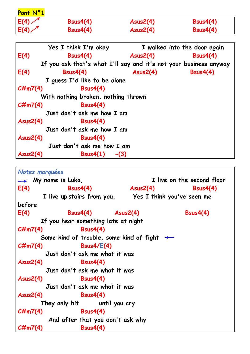| Pont N°1 |          |           |          |
|----------|----------|-----------|----------|
| E(4)     | Bsus4(4) | Assus2(4) | Bsus4(4) |
| E(4)     | Bsus4(4) | Assus2(4) | Bsus4(4) |

|            | Yes I think I'm okay                                              |                 | I walked into the door again |
|------------|-------------------------------------------------------------------|-----------------|------------------------------|
| E(4)       | Bsus4(4)                                                          | <b>Asus2(4)</b> | Bsus4(4)                     |
|            | If you ask that's what I'll say and it's not your business anyway |                 |                              |
| E(4)       | Bsus4(4)                                                          | Assus2(4)       | <b>Bsus4(4)</b>              |
|            | I quess I'd like to be alone                                      |                 |                              |
| $C\#m7(4)$ | Bsus4(4)                                                          |                 |                              |
|            | With nothing broken, nothing thrown                               |                 |                              |
| $C\#m7(4)$ | <b>Bsus4(4)</b>                                                   |                 |                              |
|            | Just don't ask me how I am                                        |                 |                              |
| Assus2(4)  | Bsus4(4)                                                          |                 |                              |
|            | Just don't ask me how I am                                        |                 |                              |
| Assus2(4)  | Bsus4(4)                                                          |                 |                              |
|            | Just don't ask me how I am                                        |                 |                              |
| Assus2(4)  | $Bsus4(1) - (3)$                                                  |                 |                              |

```
Notes marquées
 My name is Luka, I live on the second floor
E(4) Bsus4(4) Asus2(4) Bsus4(4)
       I live up stairs from you, Yes I think you've seen me 
before
E(4) Bsus4(4) Asus2(4) Bsus4(4)
      If you hear something late at night
C#m7(4) Bsus4(4)
      Some kind of trouble, some kind of fight
C#m7(4) Bsus4/E(4) 
        Just don't ask me what it was
Asus2(4) Bsus4(4)
        Just don't ask me what it was
Asus2(4) Bsus4(4)
        Just don't ask me what it was
Asus2(4) Bsus4(4)
      They only hit until you cry
C#m7(4) Bsus4(4)
        And after that you don't ask why
C#m7(4) Bsus4(4)
```